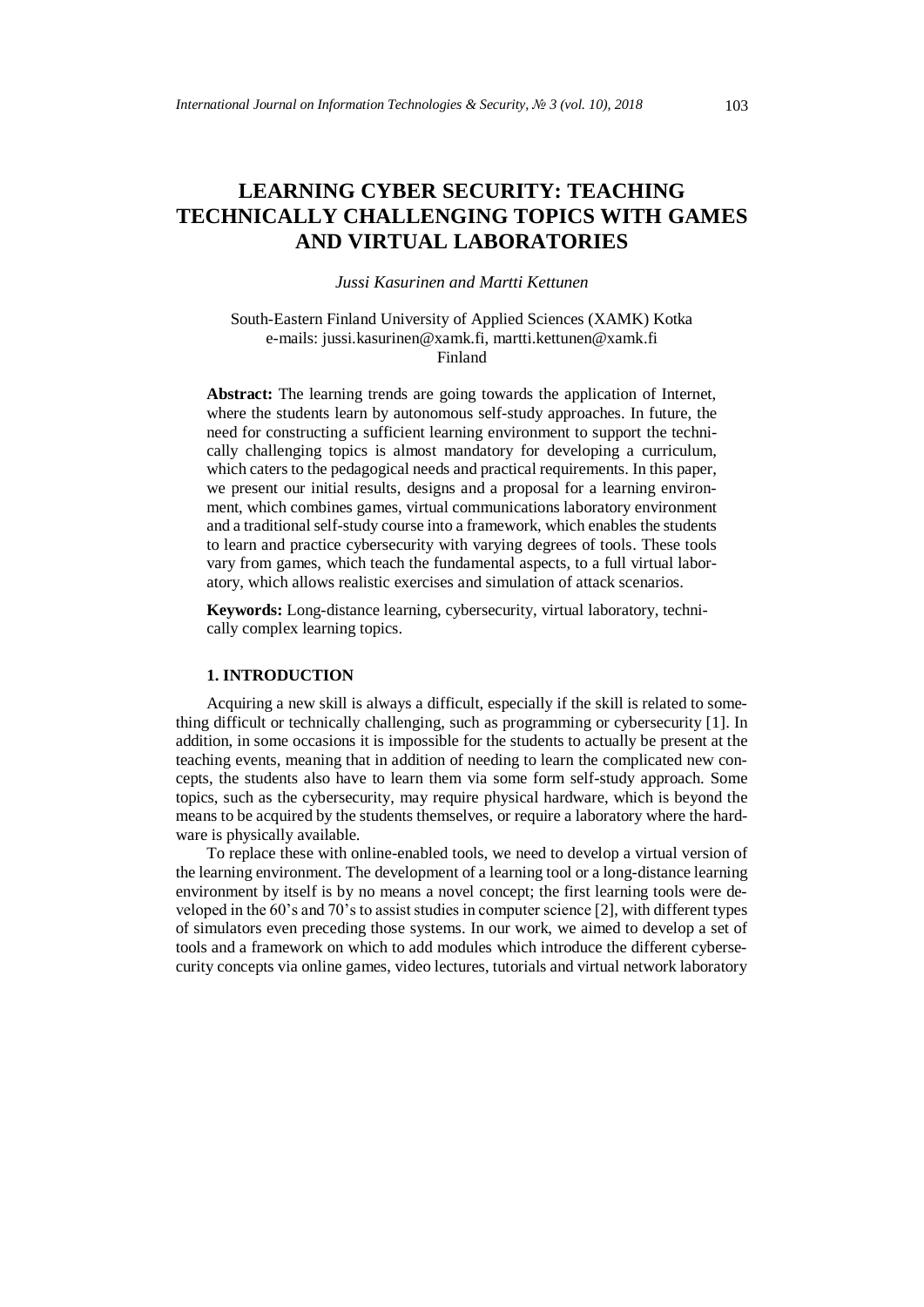# **LEARNING CYBER SECURITY: TEACHING TECHNICALLY CHALLENGING TOPICS WITH GAMES AND VIRTUAL LABORATORIES**

## *Jussi Kasurinen and Martti Kettunen*

South-Eastern Finland University of Applied Sciences (XAMK) Kotka e-mails: jussi.kasurinen@xamk.fi, martti.kettunen@xamk.fi Finland

**Abstract:** The learning trends are going towards the application of Internet, where the students learn by autonomous self-study approaches. In future, the need for constructing a sufficient learning environment to support the technically challenging topics is almost mandatory for developing a curriculum, which caters to the pedagogical needs and practical requirements. In this paper, we present our initial results, designs and a proposal for a learning environment, which combines games, virtual communications laboratory environment and a traditional self-study course into a framework, which enables the students to learn and practice cybersecurity with varying degrees of tools. These tools vary from games, which teach the fundamental aspects, to a full virtual laboratory, which allows realistic exercises and simulation of attack scenarios.

**Keywords:** Long-distance learning, cybersecurity, virtual laboratory, technically complex learning topics.

## **1. INTRODUCTION**

Acquiring a new skill is always a difficult, especially if the skill is related to something difficult or technically challenging, such as programming or cybersecurity [1]. In addition, in some occasions it is impossible for the students to actually be present at the teaching events, meaning that in addition of needing to learn the complicated new concepts, the students also have to learn them via some form self-study approach. Some topics, such as the cybersecurity, may require physical hardware, which is beyond the means to be acquired by the students themselves, or require a laboratory where the hardware is physically available.

To replace these with online-enabled tools, we need to develop a virtual version of the learning environment. The development of a learning tool or a long-distance learning environment by itself is by no means a novel concept; the first learning tools were developed in the 60's and 70's to assist studies in computer science [2], with different types of simulators even preceding those systems. In our work, we aimed to develop a set of tools and a framework on which to add modules which introduce the different cybersecurity concepts via online games, video lectures, tutorials and virtual network laboratory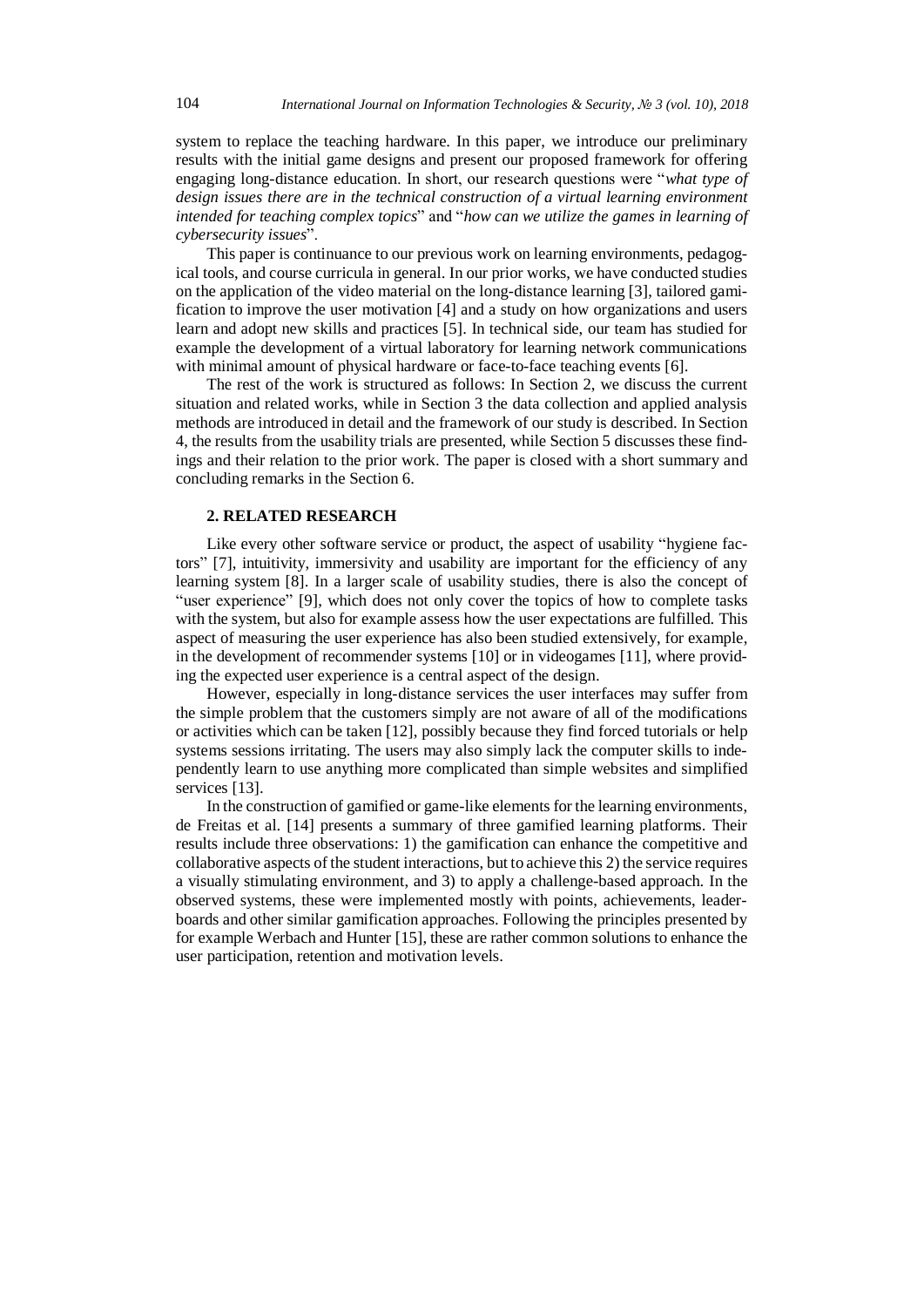system to replace the teaching hardware. In this paper, we introduce our preliminary results with the initial game designs and present our proposed framework for offering engaging long-distance education. In short, our research questions were "*what type of design issues there are in the technical construction of a virtual learning environment intended for teaching complex topics*" and "*how can we utilize the games in learning of cybersecurity issues*".

This paper is continuance to our previous work on learning environments, pedagogical tools, and course curricula in general. In our prior works, we have conducted studies on the application of the video material on the long-distance learning [3], tailored gamification to improve the user motivation [4] and a study on how organizations and users learn and adopt new skills and practices [5]. In technical side, our team has studied for example the development of a virtual laboratory for learning network communications with minimal amount of physical hardware or face-to-face teaching events [6].

The rest of the work is structured as follows: In Section 2, we discuss the current situation and related works, while in Section 3 the data collection and applied analysis methods are introduced in detail and the framework of our study is described. In Section 4, the results from the usability trials are presented, while Section 5 discusses these findings and their relation to the prior work. The paper is closed with a short summary and concluding remarks in the Section 6.

# **2. RELATED RESEARCH**

Like every other software service or product, the aspect of usability "hygiene factors" [7], intuitivity, immersivity and usability are important for the efficiency of any learning system [8]. In a larger scale of usability studies, there is also the concept of "user experience" [9], which does not only cover the topics of how to complete tasks with the system, but also for example assess how the user expectations are fulfilled. This aspect of measuring the user experience has also been studied extensively, for example, in the development of recommender systems [10] or in videogames [11], where providing the expected user experience is a central aspect of the design.

However, especially in long-distance services the user interfaces may suffer from the simple problem that the customers simply are not aware of all of the modifications or activities which can be taken [12], possibly because they find forced tutorials or help systems sessions irritating. The users may also simply lack the computer skills to independently learn to use anything more complicated than simple websites and simplified services [13].

In the construction of gamified or game-like elements for the learning environments, de Freitas et al. [14] presents a summary of three gamified learning platforms. Their results include three observations: 1) the gamification can enhance the competitive and collaborative aspects of the student interactions, but to achieve this 2) the service requires a visually stimulating environment, and 3) to apply a challenge-based approach. In the observed systems, these were implemented mostly with points, achievements, leaderboards and other similar gamification approaches. Following the principles presented by for example Werbach and Hunter [15], these are rather common solutions to enhance the user participation, retention and motivation levels.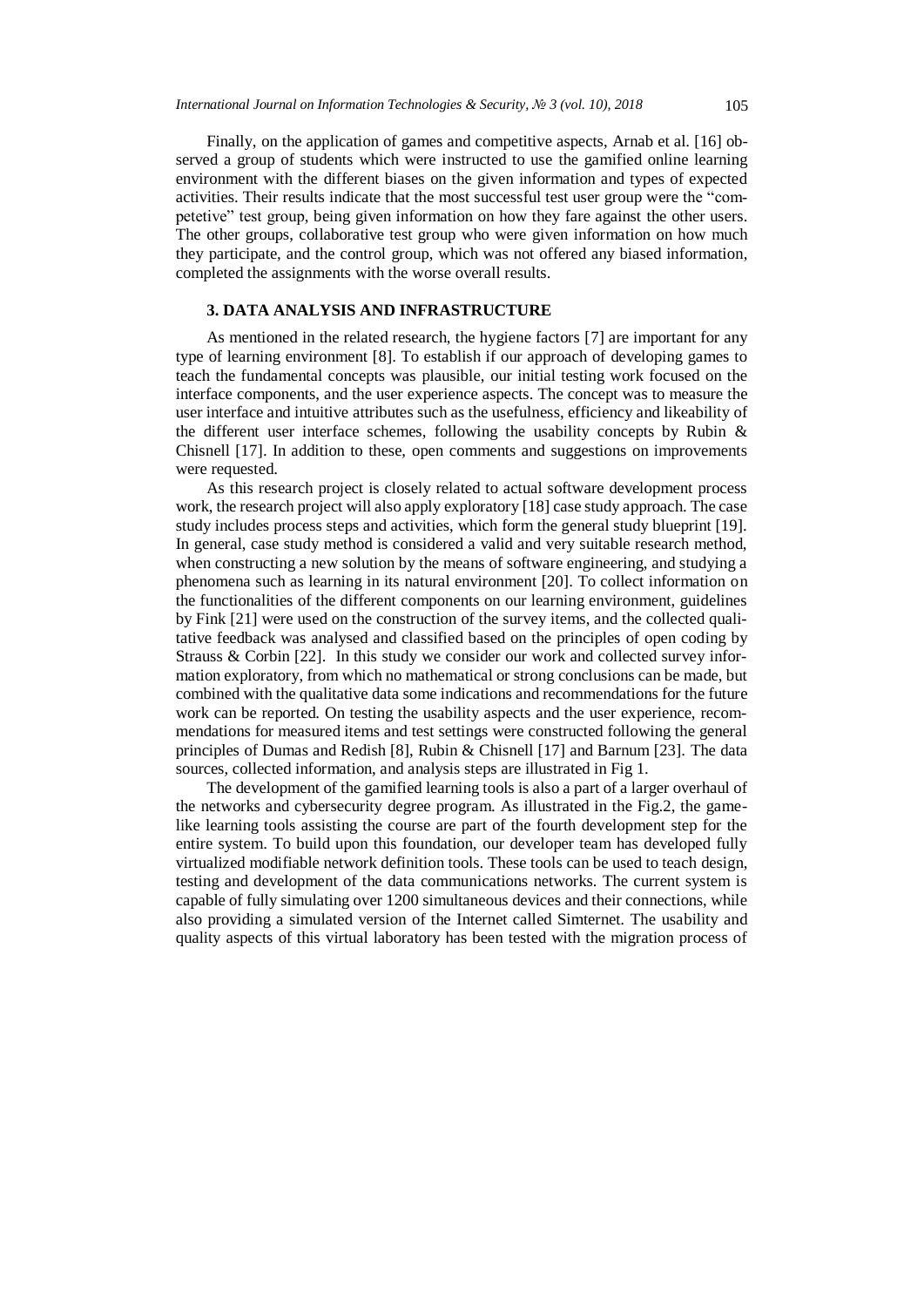Finally, on the application of games and competitive aspects, Arnab et al. [16] observed a group of students which were instructed to use the gamified online learning environment with the different biases on the given information and types of expected activities. Their results indicate that the most successful test user group were the "competetive" test group, being given information on how they fare against the other users. The other groups, collaborative test group who were given information on how much they participate, and the control group, which was not offered any biased information, completed the assignments with the worse overall results.

## **3. DATA ANALYSIS AND INFRASTRUCTURE**

As mentioned in the related research, the hygiene factors [7] are important for any type of learning environment [8]. To establish if our approach of developing games to teach the fundamental concepts was plausible, our initial testing work focused on the interface components, and the user experience aspects. The concept was to measure the user interface and intuitive attributes such as the usefulness, efficiency and likeability of the different user interface schemes, following the usability concepts by Rubin  $\&$ Chisnell [17]. In addition to these, open comments and suggestions on improvements were requested.

As this research project is closely related to actual software development process work, the research project will also apply exploratory [18] case study approach. The case study includes process steps and activities, which form the general study blueprint [19]. In general, case study method is considered a valid and very suitable research method, when constructing a new solution by the means of software engineering, and studying a phenomena such as learning in its natural environment [20]. To collect information on the functionalities of the different components on our learning environment, guidelines by Fink [21] were used on the construction of the survey items, and the collected qualitative feedback was analysed and classified based on the principles of open coding by Strauss & Corbin [22]. In this study we consider our work and collected survey information exploratory, from which no mathematical or strong conclusions can be made, but combined with the qualitative data some indications and recommendations for the future work can be reported. On testing the usability aspects and the user experience, recommendations for measured items and test settings were constructed following the general principles of Dumas and Redish [8], Rubin & Chisnell [17] and Barnum [23]. The data sources, collected information, and analysis steps are illustrated in Fig 1.

The development of the gamified learning tools is also a part of a larger overhaul of the networks and cybersecurity degree program. As illustrated in the Fig.2, the gamelike learning tools assisting the course are part of the fourth development step for the entire system. To build upon this foundation, our developer team has developed fully virtualized modifiable network definition tools. These tools can be used to teach design, testing and development of the data communications networks. The current system is capable of fully simulating over 1200 simultaneous devices and their connections, while also providing a simulated version of the Internet called Simternet. The usability and quality aspects of this virtual laboratory has been tested with the migration process of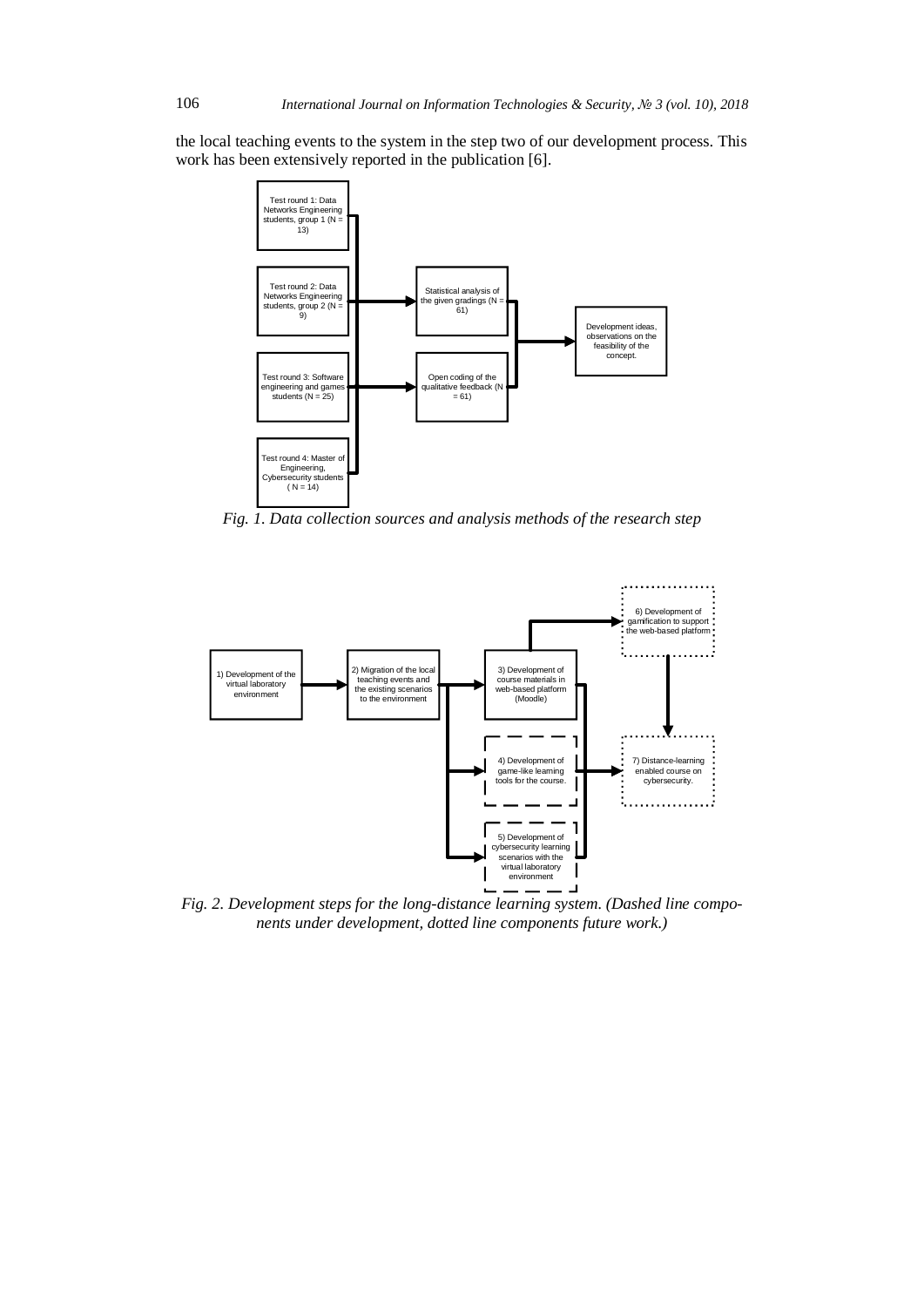the local teaching events to the system in the step two of our development process. This work has been extensively reported in the publication [6].



*Fig. 1. Data collection sources and analysis methods of the research step*



*Fig. 2. Development steps for the long-distance learning system. (Dashed line components under development, dotted line components future work.)*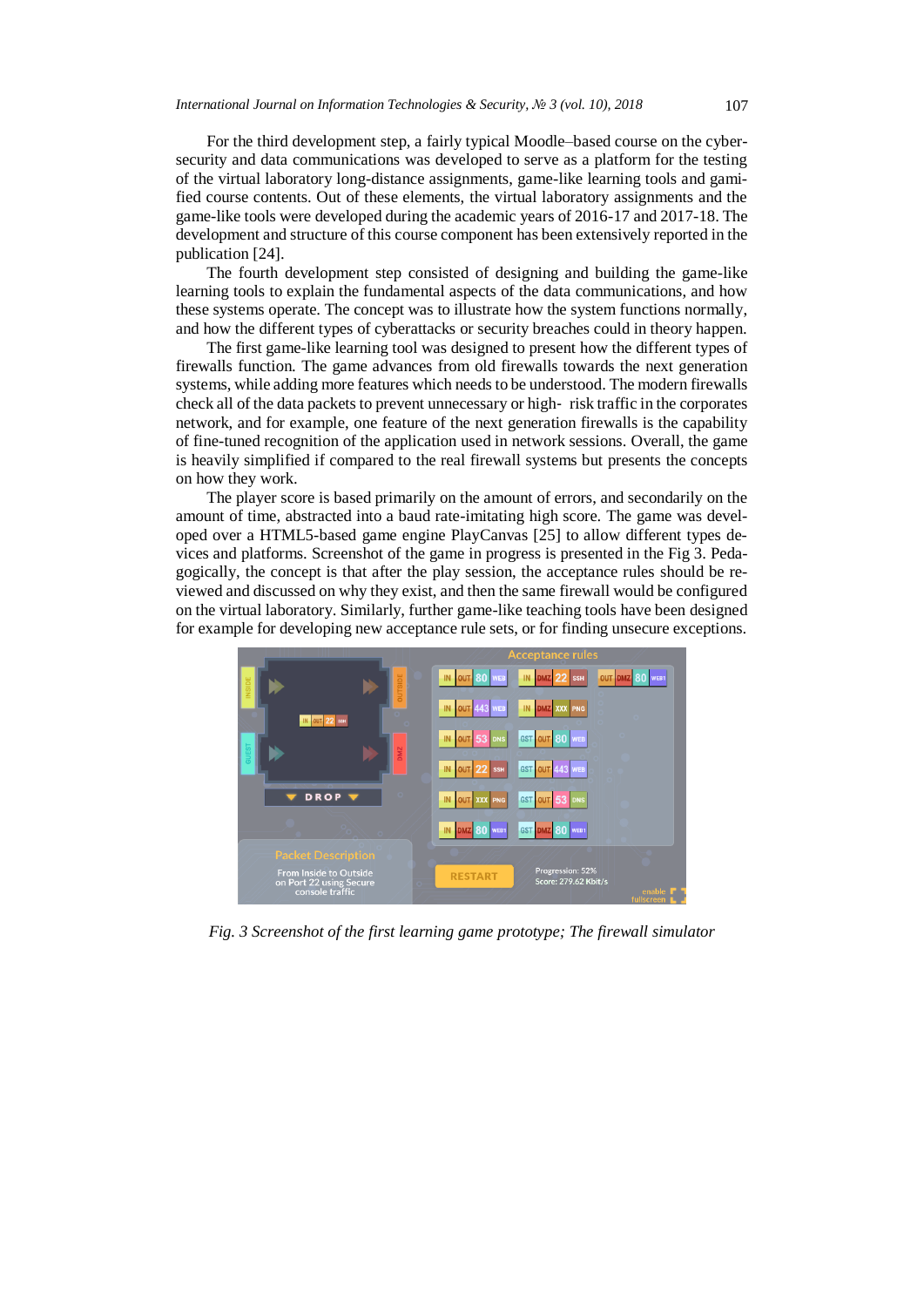For the third development step, a fairly typical Moodle–based course on the cybersecurity and data communications was developed to serve as a platform for the testing of the virtual laboratory long-distance assignments, game-like learning tools and gamified course contents. Out of these elements, the virtual laboratory assignments and the game-like tools were developed during the academic years of 2016-17 and 2017-18. The development and structure of this course component has been extensively reported in the publication [24].

The fourth development step consisted of designing and building the game-like learning tools to explain the fundamental aspects of the data communications, and how these systems operate. The concept was to illustrate how the system functions normally, and how the different types of cyberattacks or security breaches could in theory happen.

The first game-like learning tool was designed to present how the different types of firewalls function. The game advances from old firewalls towards the next generation systems, while adding more features which needs to be understood. The modern firewalls check all of the data packets to prevent unnecessary or high‐ risk traffic in the corporates network, and for example, one feature of the next generation firewalls is the capability of fine-tuned recognition of the application used in network sessions. Overall, the game is heavily simplified if compared to the real firewall systems but presents the concepts on how they work.

The player score is based primarily on the amount of errors, and secondarily on the amount of time, abstracted into a baud rate-imitating high score. The game was developed over a HTML5-based game engine PlayCanvas [25] to allow different types devices and platforms. Screenshot of the game in progress is presented in the Fig 3. Pedagogically, the concept is that after the play session, the acceptance rules should be reviewed and discussed on why they exist, and then the same firewall would be configured on the virtual laboratory. Similarly, further game-like teaching tools have been designed for example for developing new acceptance rule sets, or for finding unsecure exceptions.



*Fig. 3 Screenshot of the first learning game prototype; The firewall simulator*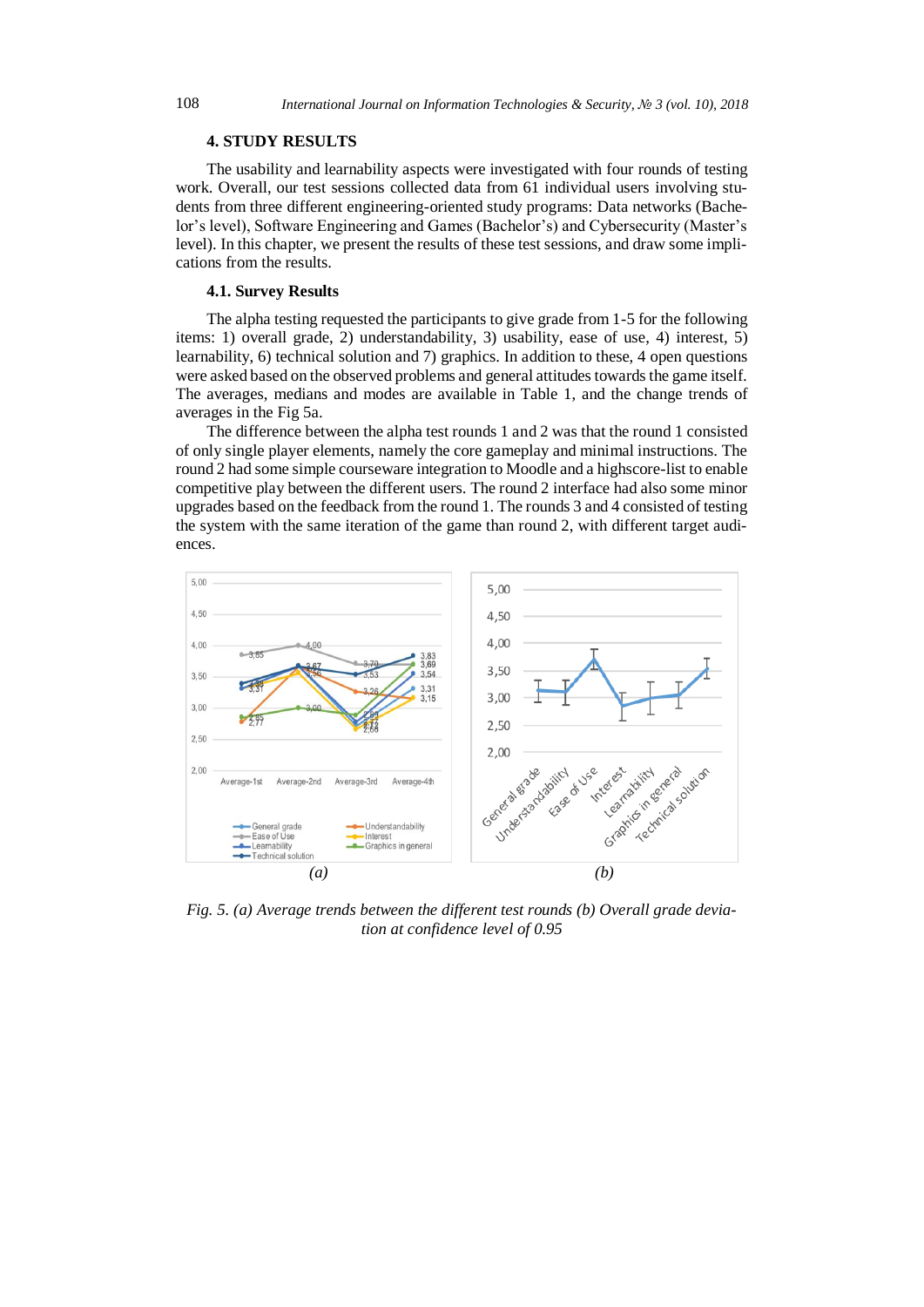## **4. STUDY RESULTS**

The usability and learnability aspects were investigated with four rounds of testing work. Overall, our test sessions collected data from 61 individual users involving students from three different engineering-oriented study programs: Data networks (Bachelor's level), Software Engineering and Games (Bachelor's) and Cybersecurity (Master's level). In this chapter, we present the results of these test sessions, and draw some implications from the results.

#### **4.1. Survey Results**

The alpha testing requested the participants to give grade from 1-5 for the following items: 1) overall grade, 2) understandability, 3) usability, ease of use, 4) interest, 5) learnability, 6) technical solution and 7) graphics. In addition to these, 4 open questions were asked based on the observed problems and general attitudes towards the game itself. The averages, medians and modes are available in Table 1, and the change trends of averages in the Fig 5a.

The difference between the alpha test rounds 1 and 2 was that the round 1 consisted of only single player elements, namely the core gameplay and minimal instructions. The round 2 had some simple courseware integration to Moodle and a highscore-list to enable competitive play between the different users. The round 2 interface had also some minor upgrades based on the feedback from the round 1. The rounds 3 and 4 consisted of testing the system with the same iteration of the game than round 2, with different target audiences.



*Fig. 5. (a) Average trends between the different test rounds (b) Overall grade deviation at confidence level of 0.95*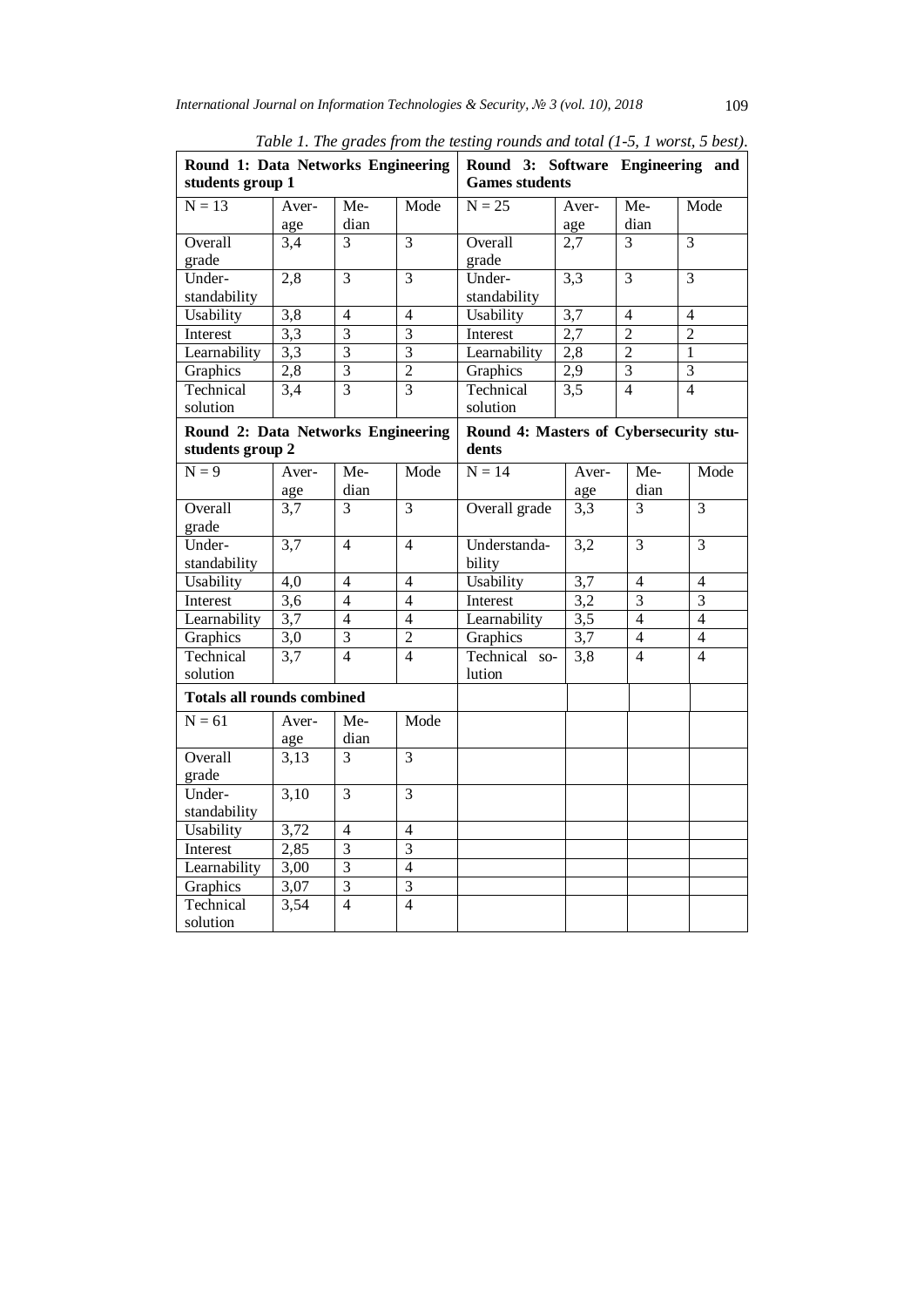| Round 1: Data Networks Engineering<br>students group 1 |                  |                         |                | Round 3: Software Engineering and<br><b>Games students</b> |                  |                |                          |
|--------------------------------------------------------|------------------|-------------------------|----------------|------------------------------------------------------------|------------------|----------------|--------------------------|
| $N = 13$                                               | Aver-            | Me-                     | Mode           | $N = 25$                                                   | Aver-            | $Me-$          | Mode                     |
|                                                        | age              | dian                    |                |                                                            | age              | dian           |                          |
| Overall                                                | 3,4              | $\overline{3}$          | $\overline{3}$ | Overall                                                    | 2,7              | $\overline{3}$ | $\overline{3}$           |
| grade                                                  |                  |                         |                | grade                                                      |                  |                |                          |
| Under-                                                 | 2,8              | 3                       | 3              | Under-                                                     | $\overline{3,3}$ | $\overline{3}$ | 3                        |
| standability                                           |                  |                         |                | standability                                               |                  |                |                          |
| Usability                                              | 3,8              | $\overline{4}$          | $\overline{4}$ | Usability                                                  | $\overline{3,7}$ | $\overline{4}$ | $\overline{4}$           |
| Interest                                               | $\overline{3,3}$ | $\overline{3}$          | $\overline{3}$ | Interest                                                   | 2,7              | $\overline{2}$ | $\overline{2}$           |
| Learnability                                           | 3,3              | $\overline{3}$          | $\overline{3}$ | Learnability                                               | $2,\overline{8}$ | $\overline{2}$ | 1                        |
| Graphics                                               | 2,8              | $\overline{3}$          | $\overline{2}$ | Graphics                                                   | $\overline{2,9}$ | $\overline{3}$ | $\overline{3}$           |
| Technical                                              | 3,4              | $\overline{3}$          | $\overline{3}$ | Technical                                                  | 3,5              | $\overline{4}$ | $\overline{\mathcal{L}}$ |
| solution                                               |                  |                         |                | solution                                                   |                  |                |                          |
| Round 2: Data Networks Engineering<br>students group 2 |                  |                         |                | Round 4: Masters of Cybersecurity stu-<br>dents            |                  |                |                          |
| $N = 9$                                                | Aver-            | $Me-$                   | Mode           | $N = 14$                                                   | Aver-            | Me-            | Mode                     |
|                                                        | age              | dian                    |                |                                                            | age              | dian           |                          |
| Overall                                                | $\overline{3,7}$ | $\overline{3}$          | $\overline{3}$ | Overall grade                                              | 3,3              | 3              | $\overline{3}$           |
| grade                                                  |                  |                         |                |                                                            |                  |                |                          |
| Under-                                                 | 3,7              | $\overline{4}$          | $\overline{4}$ | Understanda-                                               | 3,2              | $\overline{3}$ | $\overline{3}$           |
| standability                                           |                  |                         |                | bility                                                     |                  |                |                          |
| Usability                                              | 4,0              | 4                       | 4              | Usability                                                  | 3,7              | $\overline{4}$ | 4                        |
| Interest                                               | $\overline{3,6}$ | $\overline{4}$          | $\overline{4}$ | Interest                                                   | 3,2              | 3              | $\overline{3}$           |
| Learnability                                           | 3,7              | $\overline{4}$          | $\overline{4}$ | Learnability                                               | $\overline{3,5}$ | $\overline{4}$ | $\overline{4}$           |
| Graphics                                               | $\overline{3,0}$ | $\overline{3}$          | $\overline{2}$ | Graphics                                                   | 3,7              | $\overline{4}$ | $\overline{4}$           |
| Technical                                              | 3,7              | $\overline{4}$          | $\overline{4}$ | Technical<br>$SO-$                                         | 3,8              | $\overline{4}$ | $\overline{4}$           |
| solution                                               |                  |                         |                | lution                                                     |                  |                |                          |
| <b>Totals all rounds combined</b>                      |                  |                         |                |                                                            |                  |                |                          |
| $N = 61$                                               | Aver-            | Me-                     | Mode           |                                                            |                  |                |                          |
|                                                        | age              | dian                    |                |                                                            |                  |                |                          |
| Overall                                                | 3,13             | 3                       | 3              |                                                            |                  |                |                          |
| grade                                                  |                  |                         |                |                                                            |                  |                |                          |
| Under-                                                 | 3,10             | $\overline{3}$          | $\overline{3}$ |                                                            |                  |                |                          |
| standability                                           |                  |                         |                |                                                            |                  |                |                          |
| Usability                                              | 3,72             | $\overline{4}$          | $\overline{4}$ |                                                            |                  |                |                          |
| Interest                                               | 2,85             | 3                       | 3              |                                                            |                  |                |                          |
| Learnability                                           | 3,00             | $\overline{3}$          | $\overline{4}$ |                                                            |                  |                |                          |
| Graphics                                               | 3,07             | $\overline{\mathbf{3}}$ | $\overline{3}$ |                                                            |                  |                |                          |
| Technical                                              | 3,54             | $\overline{4}$          | $\overline{4}$ |                                                            |                  |                |                          |
| solution                                               |                  |                         |                |                                                            |                  |                |                          |

*Table 1. The grades from the testing rounds and total (1-5, 1 worst, 5 best).*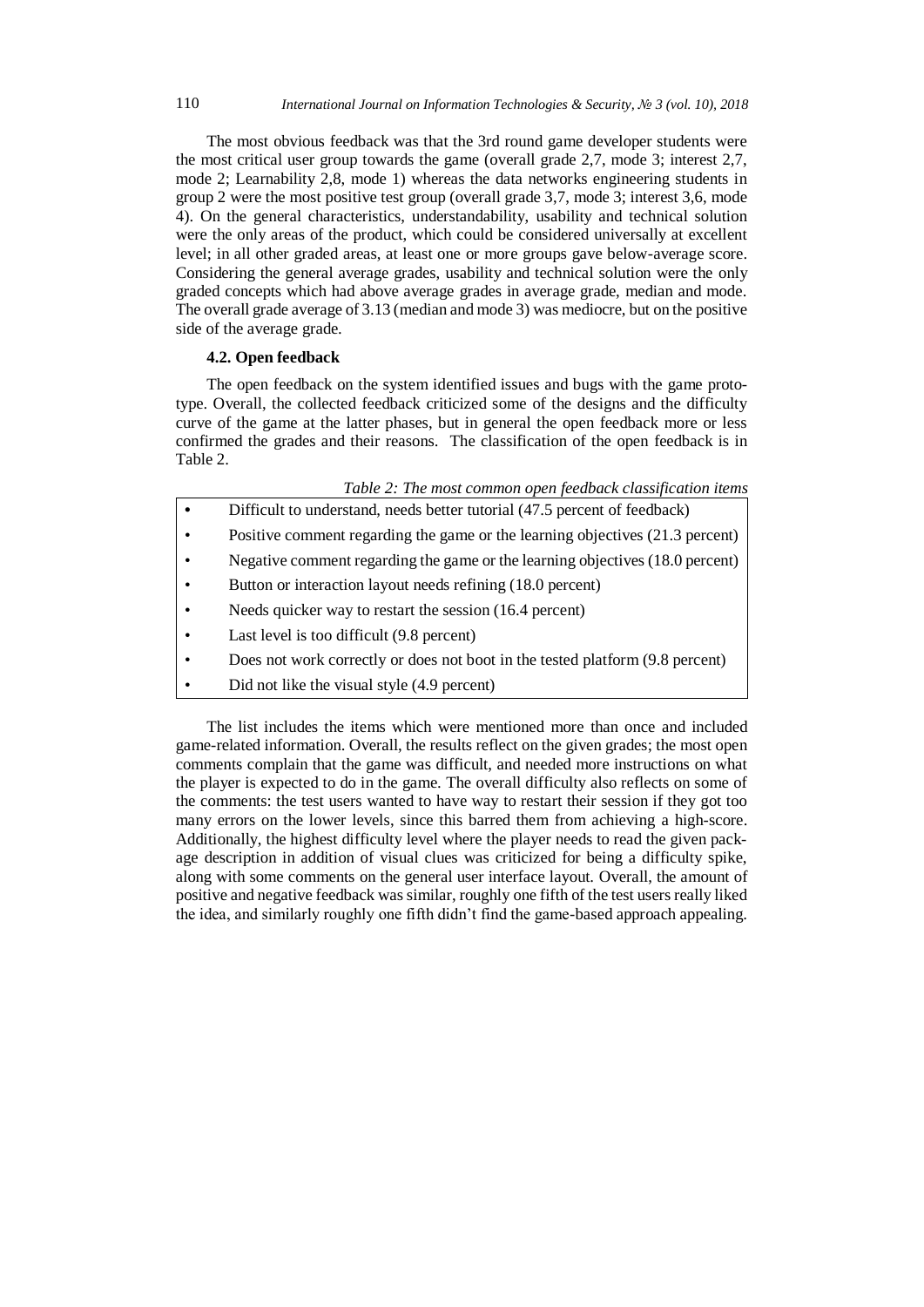The most obvious feedback was that the 3rd round game developer students were the most critical user group towards the game (overall grade 2,7, mode 3; interest 2,7, mode 2; Learnability 2,8, mode 1) whereas the data networks engineering students in group 2 were the most positive test group (overall grade 3,7, mode 3; interest 3,6, mode 4). On the general characteristics, understandability, usability and technical solution were the only areas of the product, which could be considered universally at excellent level; in all other graded areas, at least one or more groups gave below-average score. Considering the general average grades, usability and technical solution were the only graded concepts which had above average grades in average grade, median and mode. The overall grade average of 3.13 (median and mode 3) was mediocre, but on the positive side of the average grade.

# **4.2. Open feedback**

The open feedback on the system identified issues and bugs with the game prototype. Overall, the collected feedback criticized some of the designs and the difficulty curve of the game at the latter phases, but in general the open feedback more or less confirmed the grades and their reasons. The classification of the open feedback is in Table 2.

| Table 2: The most common open feedback classification items |  |  |  |
|-------------------------------------------------------------|--|--|--|
|-------------------------------------------------------------|--|--|--|

|           | Difficult to understand, needs better tutorial (47.5 percent of feedback)     |
|-----------|-------------------------------------------------------------------------------|
| $\bullet$ | Positive comment regarding the game or the learning objectives (21.3 percent) |
| ٠         | Negative comment regarding the game or the learning objectives (18.0 percent) |
| ٠         | Button or interaction layout needs refining (18.0 percent)                    |
| $\bullet$ | Needs quicker way to restart the session (16.4 percent)                       |
| ٠         | Last level is too difficult (9.8 percent)                                     |
|           | Does not work correctly or does not boot in the tested platform (9.8 percent) |

• Did not like the visual style (4.9 percent)

The list includes the items which were mentioned more than once and included game-related information. Overall, the results reflect on the given grades; the most open comments complain that the game was difficult, and needed more instructions on what the player is expected to do in the game. The overall difficulty also reflects on some of the comments: the test users wanted to have way to restart their session if they got too many errors on the lower levels, since this barred them from achieving a high-score. Additionally, the highest difficulty level where the player needs to read the given package description in addition of visual clues was criticized for being a difficulty spike, along with some comments on the general user interface layout. Overall, the amount of positive and negative feedback was similar, roughly one fifth of the test users really liked the idea, and similarly roughly one fifth didn't find the game-based approach appealing.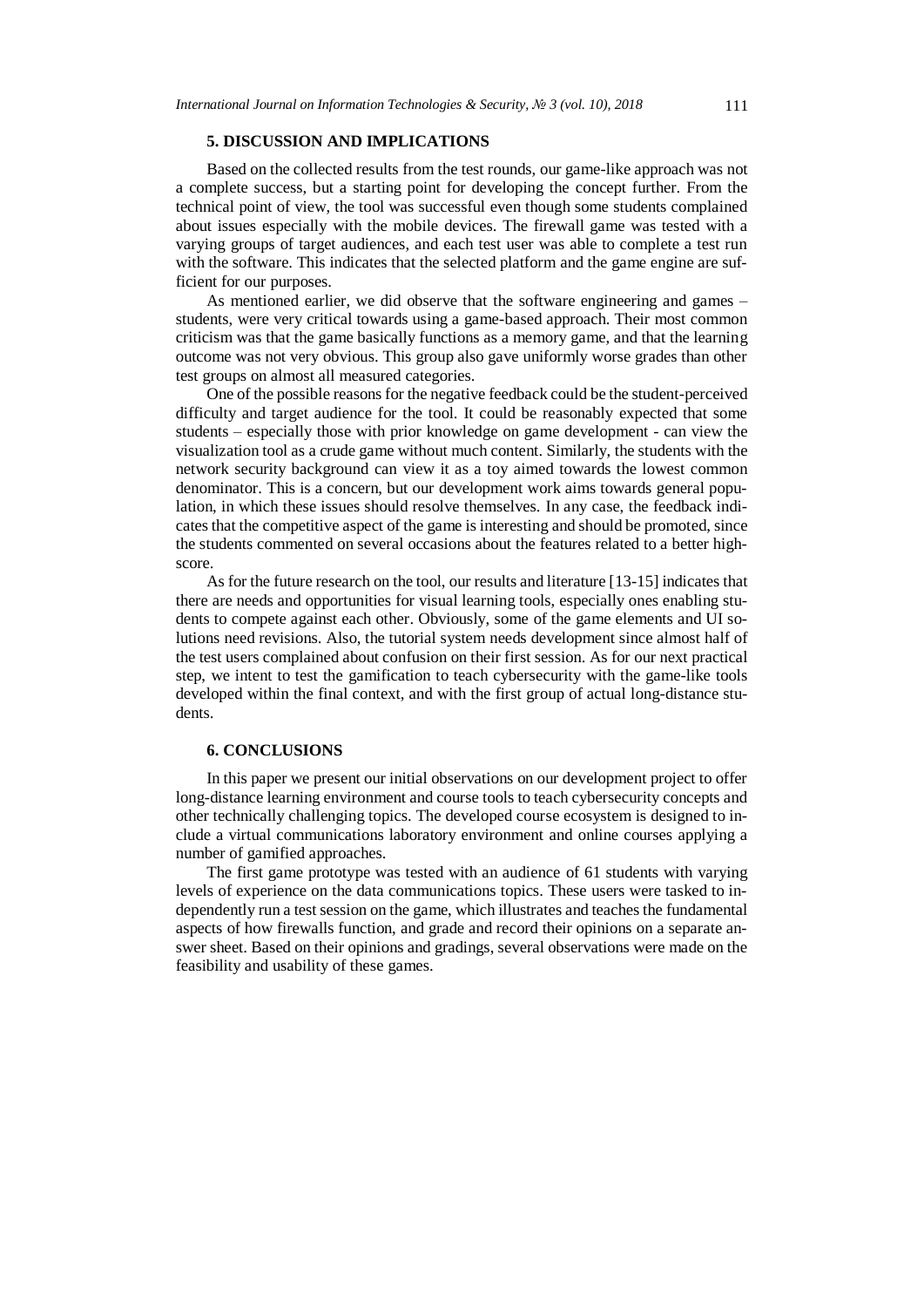# **5. DISCUSSION AND IMPLICATIONS**

Based on the collected results from the test rounds, our game-like approach was not a complete success, but a starting point for developing the concept further. From the technical point of view, the tool was successful even though some students complained about issues especially with the mobile devices. The firewall game was tested with a varying groups of target audiences, and each test user was able to complete a test run with the software. This indicates that the selected platform and the game engine are sufficient for our purposes.

As mentioned earlier, we did observe that the software engineering and games – students, were very critical towards using a game-based approach. Their most common criticism was that the game basically functions as a memory game, and that the learning outcome was not very obvious. This group also gave uniformly worse grades than other test groups on almost all measured categories.

One of the possible reasons for the negative feedback could be the student-perceived difficulty and target audience for the tool. It could be reasonably expected that some students – especially those with prior knowledge on game development - can view the visualization tool as a crude game without much content. Similarly, the students with the network security background can view it as a toy aimed towards the lowest common denominator. This is a concern, but our development work aims towards general population, in which these issues should resolve themselves. In any case, the feedback indicates that the competitive aspect of the game is interesting and should be promoted, since the students commented on several occasions about the features related to a better highscore.

As for the future research on the tool, our results and literature [13-15] indicates that there are needs and opportunities for visual learning tools, especially ones enabling students to compete against each other. Obviously, some of the game elements and UI solutions need revisions. Also, the tutorial system needs development since almost half of the test users complained about confusion on their first session. As for our next practical step, we intent to test the gamification to teach cybersecurity with the game-like tools developed within the final context, and with the first group of actual long-distance students.

# **6. CONCLUSIONS**

In this paper we present our initial observations on our development project to offer long-distance learning environment and course tools to teach cybersecurity concepts and other technically challenging topics. The developed course ecosystem is designed to include a virtual communications laboratory environment and online courses applying a number of gamified approaches.

The first game prototype was tested with an audience of 61 students with varying levels of experience on the data communications topics. These users were tasked to independently run a test session on the game, which illustrates and teaches the fundamental aspects of how firewalls function, and grade and record their opinions on a separate answer sheet. Based on their opinions and gradings, several observations were made on the feasibility and usability of these games.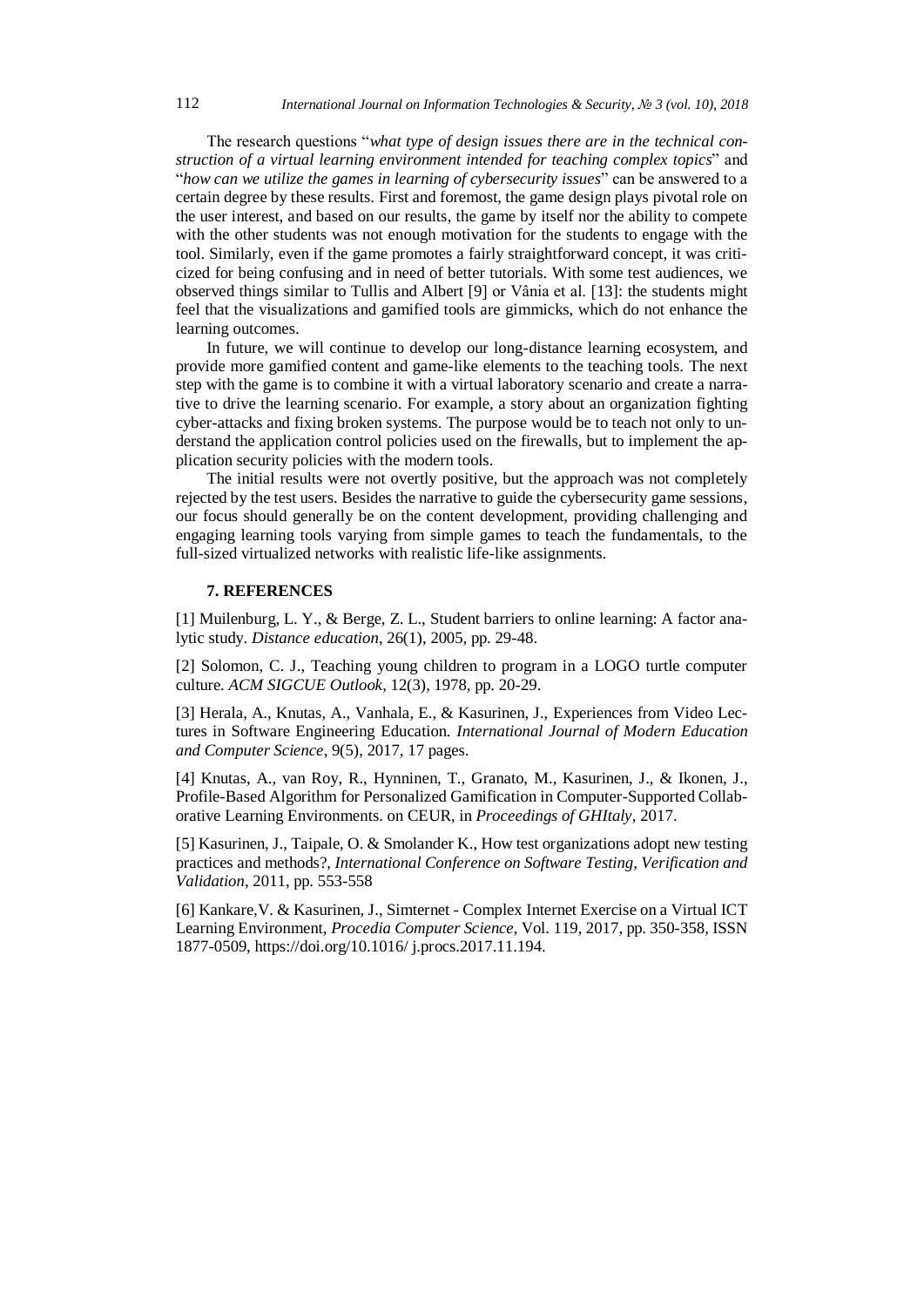The research questions "*what type of design issues there are in the technical construction of a virtual learning environment intended for teaching complex topics*" and "*how can we utilize the games in learning of cybersecurity issues*" can be answered to a certain degree by these results. First and foremost, the game design plays pivotal role on the user interest, and based on our results, the game by itself nor the ability to compete with the other students was not enough motivation for the students to engage with the tool. Similarly, even if the game promotes a fairly straightforward concept, it was criticized for being confusing and in need of better tutorials. With some test audiences, we observed things similar to Tullis and Albert [9] or Vânia et al. [13]: the students might feel that the visualizations and gamified tools are gimmicks, which do not enhance the learning outcomes.

In future, we will continue to develop our long-distance learning ecosystem, and provide more gamified content and game-like elements to the teaching tools. The next step with the game is to combine it with a virtual laboratory scenario and create a narrative to drive the learning scenario. For example, a story about an organization fighting cyber-attacks and fixing broken systems. The purpose would be to teach not only to understand the application control policies used on the firewalls, but to implement the application security policies with the modern tools.

The initial results were not overtly positive, but the approach was not completely rejected by the test users. Besides the narrative to guide the cybersecurity game sessions, our focus should generally be on the content development, providing challenging and engaging learning tools varying from simple games to teach the fundamentals, to the full-sized virtualized networks with realistic life-like assignments.

## **7. REFERENCES**

[1] Muilenburg, L. Y., & Berge, Z. L., Student barriers to online learning: A factor analytic study. *Distance education*, 26(1), 2005, pp. 29-48.

[2] Solomon, C. J., Teaching young children to program in a LOGO turtle computer culture. *ACM SIGCUE Outlook*, 12(3), 1978, pp. 20-29.

[3] Herala, A., Knutas, A., Vanhala, E., & Kasurinen, J., Experiences from Video Lectures in Software Engineering Education. *International Journal of Modern Education and Computer Science*, 9(5), 2017, 17 pages.

[4] Knutas, A., van Roy, R., Hynninen, T., Granato, M., Kasurinen, J., & Ikonen, J., Profile-Based Algorithm for Personalized Gamification in Computer-Supported Collaborative Learning Environments. on CEUR, in *Proceedings of GHItaly*, 2017.

[5] Kasurinen, J., Taipale, O. & Smolander K., How test organizations adopt new testing practices and methods?, *International Conference on Software Testing, Verification and Validation*, 2011, pp. 553-558

[6] Kankare,V. & Kasurinen, J., Simternet - Complex Internet Exercise on a Virtual ICT Learning Environment, *Procedia Computer Science*, Vol. 119, 2017, pp. 350-358, ISSN 1877-0509, https://doi.org/10.1016/ j.procs.2017.11.194.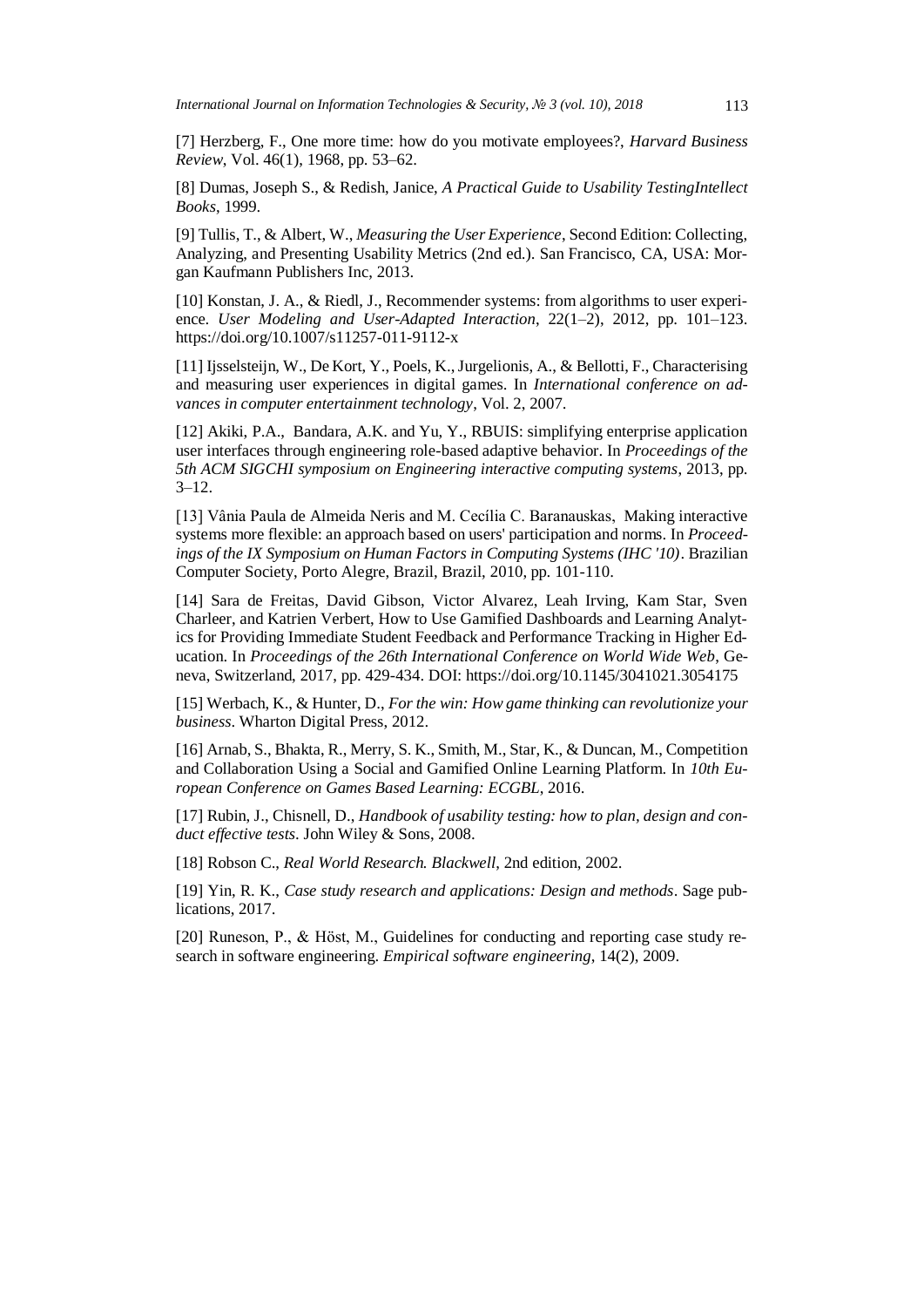[7] Herzberg, F., One more time: how do you motivate employees?, *Harvard Business Review*, Vol. 46(1), 1968, pp. 53–62.

[8] Dumas, Joseph S., & Redish, Janice, *A Practical Guide to Usability TestingIntellect Books*, 1999.

[9] Tullis, T., & Albert, W., *Measuring the User Experience*, Second Edition: Collecting, Analyzing, and Presenting Usability Metrics (2nd ed.). San Francisco, CA, USA: Morgan Kaufmann Publishers Inc, 2013.

[10] Konstan, J. A., & Riedl, J., Recommender systems: from algorithms to user experience. *User Modeling and User-Adapted Interaction*, 22(1–2), 2012, pp. 101–123. https://doi.org/10.1007/s11257-011-9112-x

[11] Ijsselsteijn, W., De Kort, Y., Poels, K., Jurgelionis, A., & Bellotti, F., Characterising and measuring user experiences in digital games. In *International conference on advances in computer entertainment technology*, Vol. 2, 2007.

[12] Akiki, P.A., Bandara, A.K. and Yu, Y., RBUIS: simplifying enterprise application user interfaces through engineering role-based adaptive behavior. In *Proceedings of the 5th ACM SIGCHI symposium on Engineering interactive computing systems*, 2013, pp.  $3 - 12.$ 

[13] Vânia Paula de Almeida Neris and M. Cecília C. Baranauskas, Making interactive systems more flexible: an approach based on users' participation and norms. In *Proceedings of the IX Symposium on Human Factors in Computing Systems (IHC '10)*. Brazilian Computer Society, Porto Alegre, Brazil, Brazil, 2010, pp. 101-110.

[14] Sara de Freitas, David Gibson, Victor Alvarez, Leah Irving, Kam Star, Sven Charleer, and Katrien Verbert, How to Use Gamified Dashboards and Learning Analytics for Providing Immediate Student Feedback and Performance Tracking in Higher Education. In *Proceedings of the 26th International Conference on World Wide Web*, Geneva, Switzerland, 2017, pp. 429-434. DOI: https://doi.org/10.1145/3041021.3054175

[15] Werbach, K., & Hunter, D., *For the win: How game thinking can revolutionize your business*. Wharton Digital Press, 2012.

[16] Arnab, S., Bhakta, R., Merry, S. K., Smith, M., Star, K., & Duncan, M., Competition and Collaboration Using a Social and Gamified Online Learning Platform. In *10th European Conference on Games Based Learning: ECGBL*, 2016.

[17] Rubin, J., Chisnell, D., *Handbook of usability testing: how to plan, design and conduct effective tests*. John Wiley & Sons, 2008.

[18] Robson C., *Real World Research. Blackwell*, 2nd edition, 2002.

[19] Yin, R. K., *Case study research and applications: Design and methods*. Sage publications, 2017.

[20] Runeson, P., & Höst, M., Guidelines for conducting and reporting case study research in software engineering. *Empirical software engineering*, 14(2), 2009.